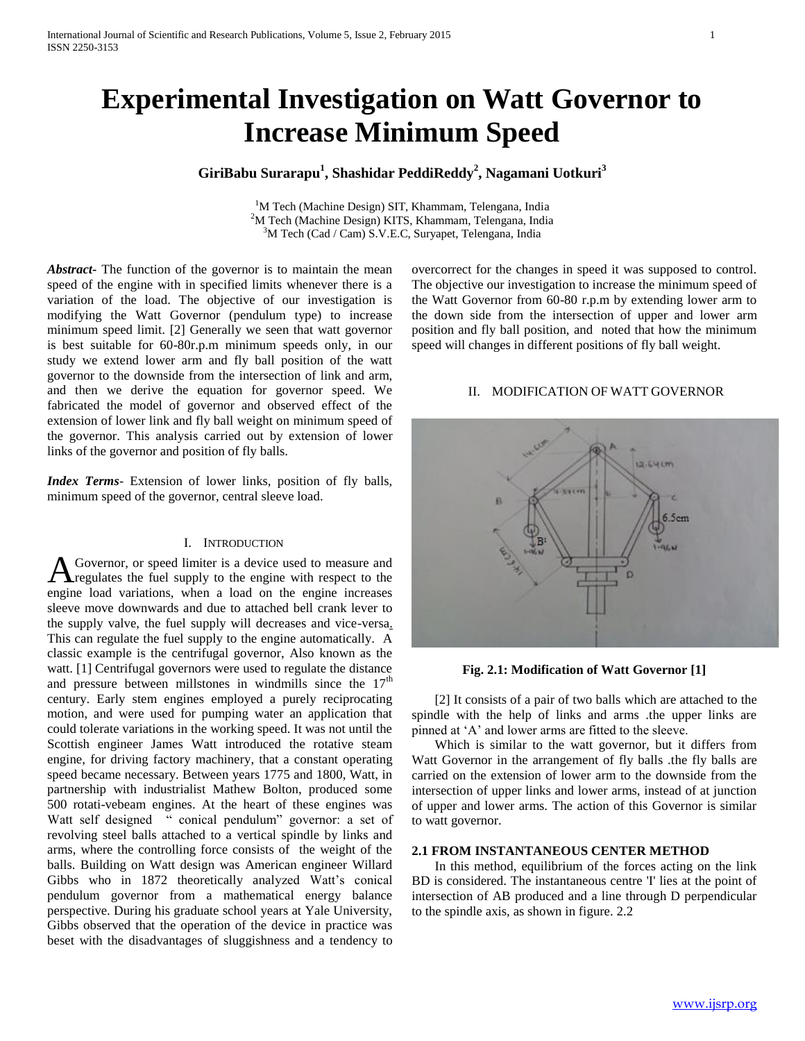# **Experimental Investigation on Watt Governor to Increase Minimum Speed**

# **GiriBabu Surarapu<sup>1</sup> , Shashidar PeddiReddy<sup>2</sup> , Nagamani Uotkuri<sup>3</sup>**

<sup>1</sup>M Tech (Machine Design) SIT, Khammam, Telengana, India <sup>2</sup>M Tech (Machine Design) KITS, Khammam, Telengana, India  $3$ M Tech (Cad / Cam) S.V.E.C, Suryapet, Telengana, India

*Abstract***-** The function of the governor is to maintain the mean speed of the engine with in specified limits whenever there is a variation of the load. The objective of our investigation is modifying the Watt Governor (pendulum type) to increase minimum speed limit. [2] Generally we seen that watt governor is best suitable for 60-80r.p.m minimum speeds only, in our study we extend lower arm and fly ball position of the watt governor to the downside from the intersection of link and arm, and then we derive the equation for governor speed. We fabricated the model of governor and observed effect of the extension of lower link and fly ball weight on minimum speed of the governor. This analysis carried out by extension of lower links of the governor and position of fly balls.

*Index Terms*- Extension of lower links, position of fly balls, minimum speed of the governor, central sleeve load.

## I. INTRODUCTION

Governor, or speed limiter is a device used to measure and regulates the fuel supply to the engine with respect to the **A** Governor, or speed limiter is a device used to measure and regulates the fuel supply to the engine with respect to the engine load variations, when a load on the engine increases sleeve move downwards and due to attached bell crank lever to the supply valve, the fuel supply will decreases and vice-versa. This can regulate the fuel supply to the engine automatically. A classic example is the centrifugal governor, Also known as the watt. [1] Centrifugal governors were used to regulate the distance and pressure between millstones in windmills since the  $17<sup>th</sup>$ century. Early stem engines employed a purely reciprocating motion, and were used for pumping water an application that could tolerate variations in the working speed. It was not until the Scottish engineer James Watt introduced the rotative steam engine, for driving factory machinery, that a constant operating speed became necessary. Between years 1775 and 1800, Watt, in partnership with industrialist Mathew Bolton, produced some 500 rotati-vebeam engines. At the heart of these engines was Watt self designed " conical pendulum" governor: a set of revolving steel balls attached to a vertical spindle by links and arms, where the controlling force consists of the weight of the balls. Building on Watt design was American engineer Willard Gibbs who in 1872 theoretically analyzed Watt's conical pendulum governor from a mathematical energy balance perspective. During his graduate school years at Yale University, Gibbs observed that the operation of the device in practice was beset with the disadvantages of sluggishness and a tendency to

overcorrect for the changes in speed it was supposed to control. The objective our investigation to increase the minimum speed of the Watt Governor from 60-80 r.p.m by extending lower arm to the down side from the intersection of upper and lower arm position and fly ball position, and noted that how the minimum speed will changes in different positions of fly ball weight.

# II. MODIFICATION OF WATT GOVERNOR



#### **Fig. 2.1: Modification of Watt Governor [1]**

 [2] It consists of a pair of two balls which are attached to the spindle with the help of links and arms .the upper links are pinned at 'A' and lower arms are fitted to the sleeve.

 Which is similar to the watt governor, but it differs from Watt Governor in the arrangement of fly balls .the fly balls are carried on the extension of lower arm to the downside from the intersection of upper links and lower arms, instead of at junction of upper and lower arms. The action of this Governor is similar to watt governor.

#### **2.1 FROM INSTANTANEOUS CENTER METHOD**

 In this method, equilibrium of the forces acting on the link BD is considered. The instantaneous centre 'I' lies at the point of intersection of AB produced and a line through D perpendicular to the spindle axis, as shown in figure. 2.2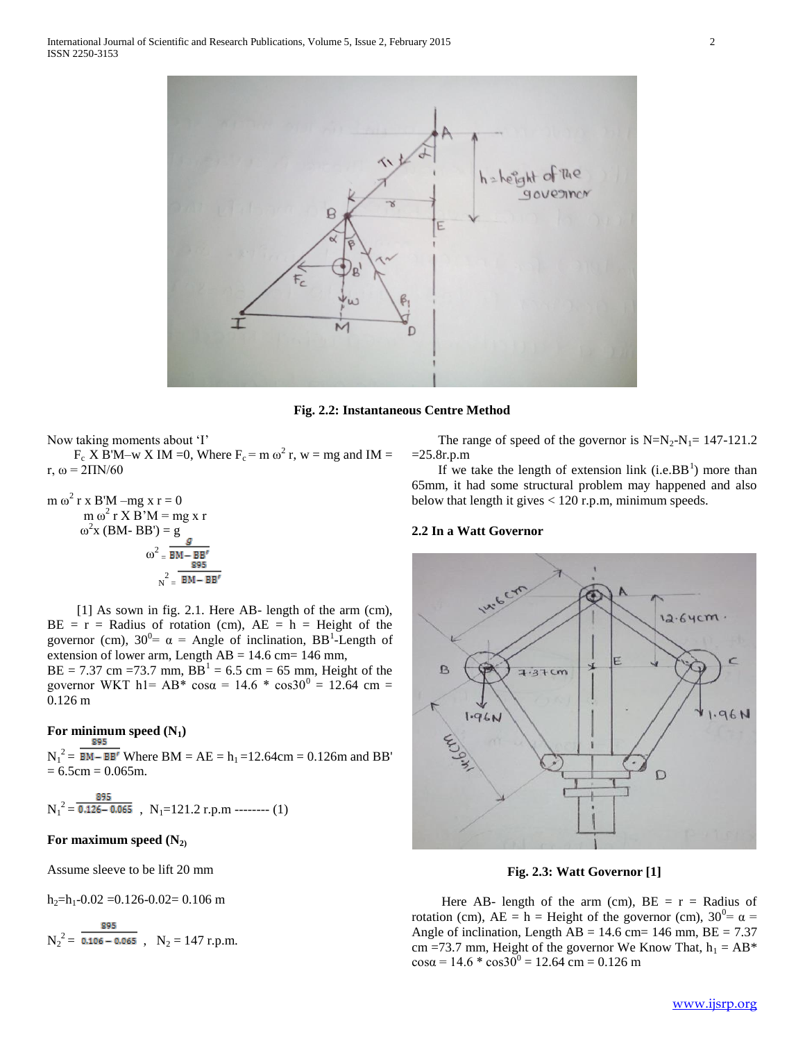

**Fig. 2.2: Instantaneous Centre Method**

Now taking moments about 'I'  $F_c$  X B'M–w X IM =0, Where  $F_c$  = m  $\omega^2$  r, w = mg and IM = r,  $ω = 2\Pi N/60$ 

m 
$$
\omega^2
$$
 r x B'M – mg x r = 0  
\nm  $\omega^2$  r X B'M = mg x r  
\n $\omega^2$  x (BM - BB') = g  
\n $\omega^2 = \frac{g}{BM - BB'}$   
\n $\omega^2 = \frac{g}{BM - BB'}$ 

 [1] As sown in fig. 2.1. Here AB- length of the arm (cm),  $BE = r = Radius of rotation (cm), AE = h = Height of the$ governor (cm),  $30^0 = \alpha =$  Angle of inclination, BB<sup>1</sup>-Length of extension of lower arm, Length  $AB = 14.6$  cm= 146 mm,

 $BE = 7.37$  cm = 73.7 mm,  $BB^1 = 6.5$  cm = 65 mm, Height of the governor WKT h1= AB\*  $\cos \alpha = 14.6$  \*  $\cos 30^{\circ} = 12.64$  cm = 0.126 m

# For minimum speed  $(N_1)$

 $N_1^2 = \overline{BM - BB'}$  Where  $BM = AE = h_1 = 12.64 \text{cm} = 0.126 \text{m}$  and  $BB'$  $= 6.5$ cm  $= 0.065$ m.

$$
N_1^2 = \frac{895}{0.126 - 0.065}
$$
, N<sub>1</sub>=121.2 r.p.m -  
----- (1)

# **For maximum speed (N2)**

Assume sleeve to be lift 20 mm

 $h_2=h_1-0.02 = 0.126-0.02= 0.106$  m

$$
N_2^2 = \frac{895}{0.106 - 0.065} , N_2 = 147 \text{ r.p.m.}
$$

The range of speed of the governor is  $N=N_2-N_1= 147-121.2$  $=25.8r.p.m$ 

If we take the length of extension link  $(i.e.BB<sup>1</sup>)$  more than 65mm, it had some structural problem may happened and also below that length it gives < 120 r.p.m, minimum speeds.

#### **2.2 In a Watt Governor**



**Fig. 2.3: Watt Governor [1]**

Here AB- length of the arm (cm),  $BE = r = Radius$  of rotation (cm),  $AE = h$  = Height of the governor (cm),  $30^0 = \alpha$  = Angle of inclination, Length  $\overline{AB} = 14.6$  cm= 146 mm,  $\overline{BE} = 7.37$ cm =73.7 mm, Height of the governor We Know That,  $h_1 = AB^*$  $\cos \alpha = 14.6 \times \cos 30^{\circ} = 12.64 \text{ cm} = 0.126 \text{ m}$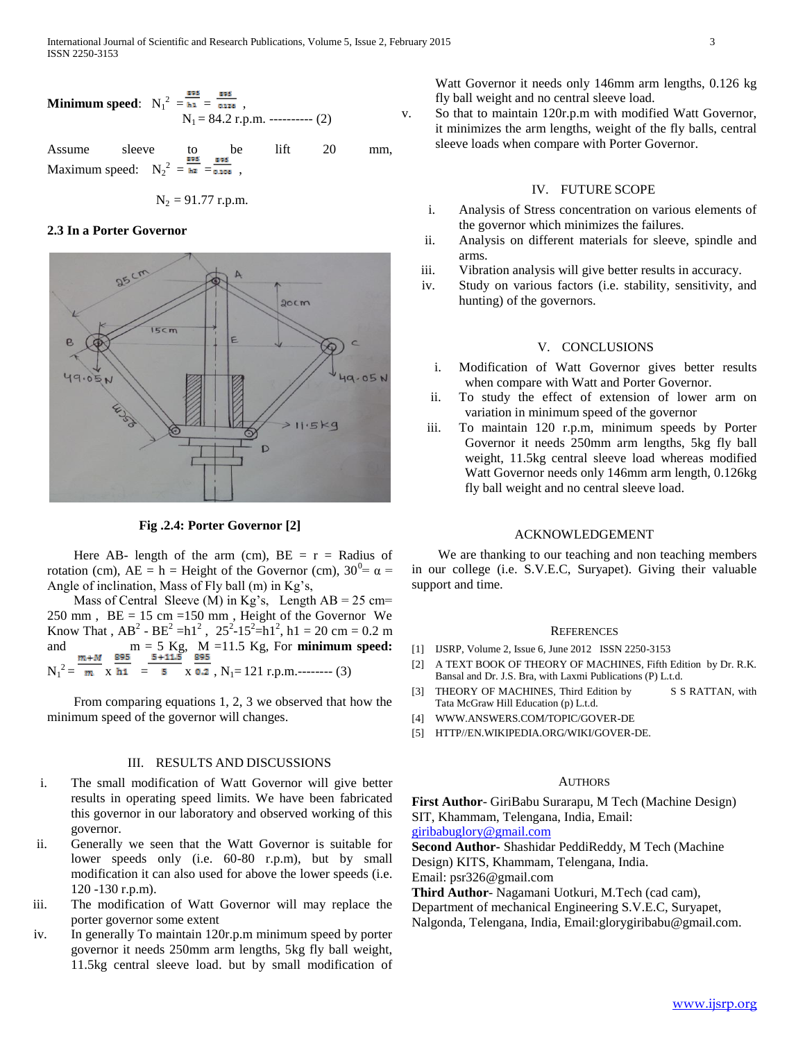**Minimum speed:** 
$$
N_1^2 = \frac{100 \times 100}{34.2} = \frac{100 \times 100}{34.2} = 84.2
$$
 r.p.m. -  
20 cm (2)

Assume sleeve to be lift 20 mm, Maximum speed:  $N_2^2 = \frac{N_2}{N_1} = \frac{N_2}{\omega_{0.108}}$ ,

$$
N_2 = 91.77
$$
 r.p.m.

## **2.3 In a Porter Governor**



**Fig .2.4: Porter Governor [2]**

Here AB- length of the arm (cm),  $BE = r = Radius$  of rotation (cm),  $AE = h =$  Height of the Governor (cm),  $30^0 = \alpha =$ Angle of inclination, Mass of Fly ball (m) in Kg's,

Mass of Central Sleeve (M) in Kg's, Length  $AB = 25$  cm=  $250$  mm,  $BE = 15$  cm =150 mm, Height of the Governor We Know That,  $AB^2 - BE^2 = h1^2$ ,  $25^2 - 15^2 = h1^2$ ,  $h1 = 20$  cm = 0.2 m and  $m = 5$  Kg, M = 11.5 Kg, For **minimum speed:**<br> $\frac{m + M}{s} = \frac{895}{5 + 11.5} = \frac{895}{895}$  $N_1^2 = \frac{m}{m} \times \frac{h_1}{h_1} = \frac{5}{5} \times \frac{0.2}{0.2}$ ,  $N_1 = 121$  r.p.m.-------- (3)

 From comparing equations 1, 2, 3 we observed that how the minimum speed of the governor will changes.

#### III. RESULTS AND DISCUSSIONS

- i. The small modification of Watt Governor will give better results in operating speed limits. We have been fabricated this governor in our laboratory and observed working of this governor.
- ii. Generally we seen that the Watt Governor is suitable for lower speeds only (i.e. 60-80 r.p.m), but by small modification it can also used for above the lower speeds (i.e. 120 -130 r.p.m).
- iii. The modification of Watt Governor will may replace the porter governor some extent
- iv. In generally To maintain 120r.p.m minimum speed by porter governor it needs 250mm arm lengths, 5kg fly ball weight, 11.5kg central sleeve load. but by small modification of

Watt Governor it needs only 146mm arm lengths, 0.126 kg fly ball weight and no central sleeve load.

v. So that to maintain 120r.p.m with modified Watt Governor, it minimizes the arm lengths, weight of the fly balls, central sleeve loads when compare with Porter Governor.

#### IV. FUTURE SCOPE

- i. Analysis of Stress concentration on various elements of the governor which minimizes the failures.
- ii. Analysis on different materials for sleeve, spindle and arms.
- iii. Vibration analysis will give better results in accuracy.
- iv. Study on various factors (i.e. stability, sensitivity, and hunting) of the governors.

#### V. CONCLUSIONS

- i. Modification of Watt Governor gives better results when compare with Watt and Porter Governor.
- ii. To study the effect of extension of lower arm on variation in minimum speed of the governor
- iii. To maintain 120 r.p.m, minimum speeds by Porter Governor it needs 250mm arm lengths, 5kg fly ball weight, 11.5kg central sleeve load whereas modified Watt Governor needs only 146mm arm length, 0.126kg fly ball weight and no central sleeve load.

#### ACKNOWLEDGEMENT

 We are thanking to our teaching and non teaching members in our college (i.e. S.V.E.C, Suryapet). Giving their valuable support and time.

#### **REFERENCES**

- [1] IJSRP, Volume 2, Issue 6, June 2012 ISSN 2250-3153
- [2] A TEXT BOOK OF THEORY OF MACHINES, Fifth Edition by Dr. R.K. Bansal and Dr. J.S. Bra, with Laxmi Publications (P) L.t.d.
- [3] THEORY OF MACHINES, Third Edition by S S RATTAN, with Tata McGraw Hill Education (p) L.t.d.
- [4] WWW.ANSWERS.COM/TOPIC/GOVER-DE
- [5] HTTP//EN.WIKIPEDIA.ORG/WIKI/GOVER-DE.

## **AUTHORS**

**First Author**- GiriBabu Surarapu, M Tech (Machine Design) SIT, Khammam, Telengana, India, Email: [giribabuglory@gmail.com](mailto:giribabuglory@gmail.com) 

**Second Author-** Shashidar PeddiReddy, M Tech (Machine Design) KITS, Khammam, Telengana, India. Email: psr326@gmail.com

**Third Author**- Nagamani Uotkuri, M.Tech (cad cam),

Department of mechanical Engineering S.V.E.C, Suryapet,

Nalgonda, Telengana, India, Email:glorygiribabu@gmail.com.